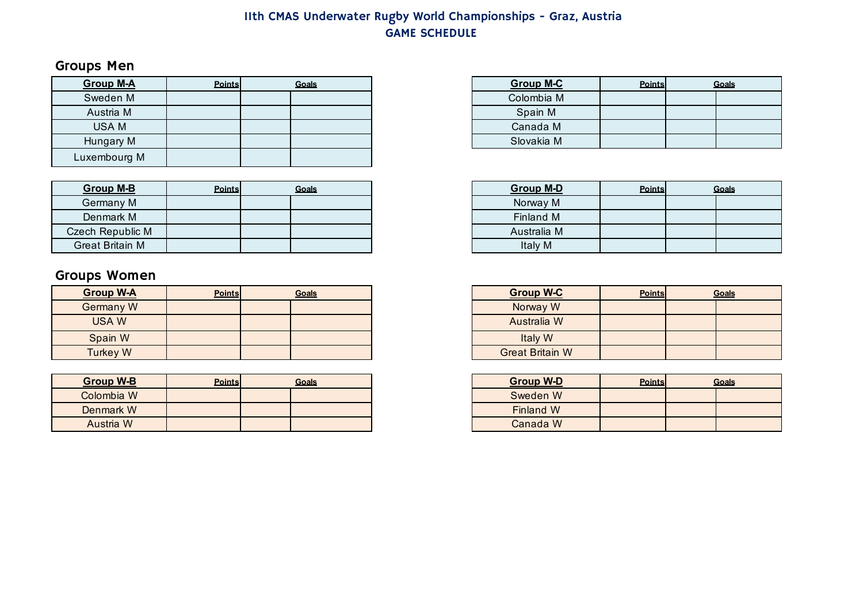# Groups Men

| <b>Group M-A</b> | Points | Goals | <b>Group M-C</b> | <b>Points</b> |  |
|------------------|--------|-------|------------------|---------------|--|
| Sweden M         |        |       | Colombia M       |               |  |
| Austria M        |        |       | Spain M          |               |  |
| <b>USAM</b>      |        |       | Canada M         |               |  |
| Hungary M        |        |       | Slovakia M       |               |  |
| Luxembourg M     |        |       |                  |               |  |

| Group M-B              | <b>Points</b> | Goals | <b>Group M-D</b> | <b>Points</b> |  |
|------------------------|---------------|-------|------------------|---------------|--|
| Germany M              |               |       | Norway M         |               |  |
| Denmark M              |               |       | Finland M        |               |  |
| Czech Republic M       |               |       | Australia M      |               |  |
| <b>Great Britain M</b> |               |       | Italy M          |               |  |

# Groups Women

| <b>Group W-A</b> | <b>Points</b> | Goals | <b>Group W-C</b>       | <b>Points</b> |  |
|------------------|---------------|-------|------------------------|---------------|--|
| Germany W        |               |       | Norway W               |               |  |
| <b>USAW</b>      |               |       | Australia W            |               |  |
| Spain W          |               |       | Italy W                |               |  |
| <b>Turkey W</b>  |               |       | <b>Great Britain W</b> |               |  |

| <b>Group W-B</b> | <b>Points</b> | Goals | <b>Group W-D</b> | <b>Points</b> |
|------------------|---------------|-------|------------------|---------------|
| Colombia W       |               |       | Sweden W         |               |
| Denmark W        |               |       | Finland W        |               |
| Austria W        |               |       | Canada W         |               |

| Points | Goals | <b>Group M-C</b> | <b>Points</b> | Goals |
|--------|-------|------------------|---------------|-------|
|        |       | Colombia M       |               |       |
|        |       | Spain M          |               |       |
|        |       | Canada M         |               |       |
|        |       | Slovakia M       |               |       |

| Points | Goals | <b>Group M-D</b> | <b>Points</b> | Goals |  |
|--------|-------|------------------|---------------|-------|--|
|        |       | Norway M         |               |       |  |
|        |       | Finland M        |               |       |  |
|        |       | Australia M      |               |       |  |
|        |       | Italy M          |               |       |  |

| Points | <b>Goals</b> | <b>Group W-C</b>       | <b>Points</b> | Goals |
|--------|--------------|------------------------|---------------|-------|
|        |              | Norway W               |               |       |
|        |              | Australia W            |               |       |
|        |              | Italy W                |               |       |
|        |              | <b>Great Britain W</b> |               |       |

| <b>Points</b> | Goals | <b>Group W-D</b> | <b>Points</b> | Goals |
|---------------|-------|------------------|---------------|-------|
|               |       | Sweden W         |               |       |
|               |       | <b>Finland W</b> |               |       |
|               |       | Canada W         |               |       |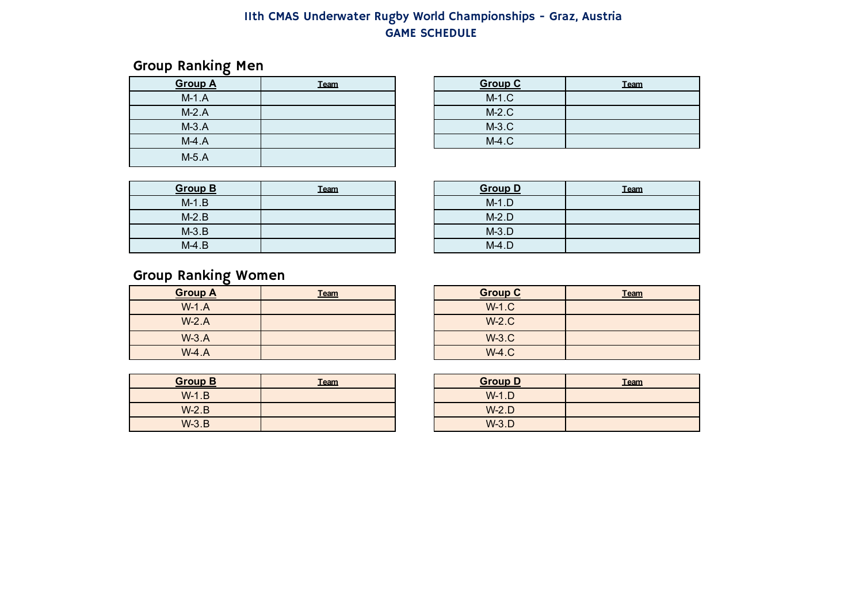## Group Ranking Men

| <b>Group A</b> | Team | <b>Group C</b> |
|----------------|------|----------------|
| $M-1.A$        |      | $M-1.C$        |
| $M-2.A$        |      | $M-2.C$        |
| $M-3.A$        |      | $M-3.C$        |
| $M-4.A$        |      | $M-4.C$        |
| $M-5.A$        |      |                |

| Team | <b>Group C</b> | <b>Team</b> |
|------|----------------|-------------|
|      | $M-1.C$        |             |
|      | $M-2.C$        |             |
|      | $M-3.C$        |             |
|      | $M-4.C$        |             |

| <b>Group B</b> | Team | <b>Group D</b> |
|----------------|------|----------------|
| $M-1.B$        |      | $M-1.D$        |
| $M-2.B$        |      | $M-2.D$        |
| $M-3.B$        |      | $M-3.D$        |
| $M-4.B$        |      | $M-4.D$        |

| Team | <b>Group D</b> | <b>Team</b> |
|------|----------------|-------------|
|      | $M-1.D$        |             |
|      | $M-2.D$        |             |
|      | $M-3.D$        |             |
|      | $M-4.D$        |             |

# Group Ranking Women

| <b>Group A</b> | <b>Team</b> | <b>Group C</b> |
|----------------|-------------|----------------|
| $W-1.A$        |             | $W-1.C$        |
| $W-2.A$        |             | $W-2.C$        |
| $W-3.A$        |             | $W-3.C$        |
| $W-4.A$        |             | $W-4.C$        |

| <b>Group B</b> | <b>Team</b> | <b>Group D</b> |
|----------------|-------------|----------------|
| $W-1.B$        |             | $W-1.D$        |
| $W-2.B$        |             | $W-2.D$        |
| $W-3.B$        |             | $W-3.D$        |

| Team | <b>Group C</b> | <b>Team</b> |
|------|----------------|-------------|
|      | $W-1.C$        |             |
|      | $W-2.C$        |             |
|      | $W-3.C$        |             |
|      | $W-4.C$        |             |

| Team | <b>Group D</b> | Team |
|------|----------------|------|
|      | $W-1.D$        |      |
|      | $W-2.D$        |      |
|      | $W-3.D$        |      |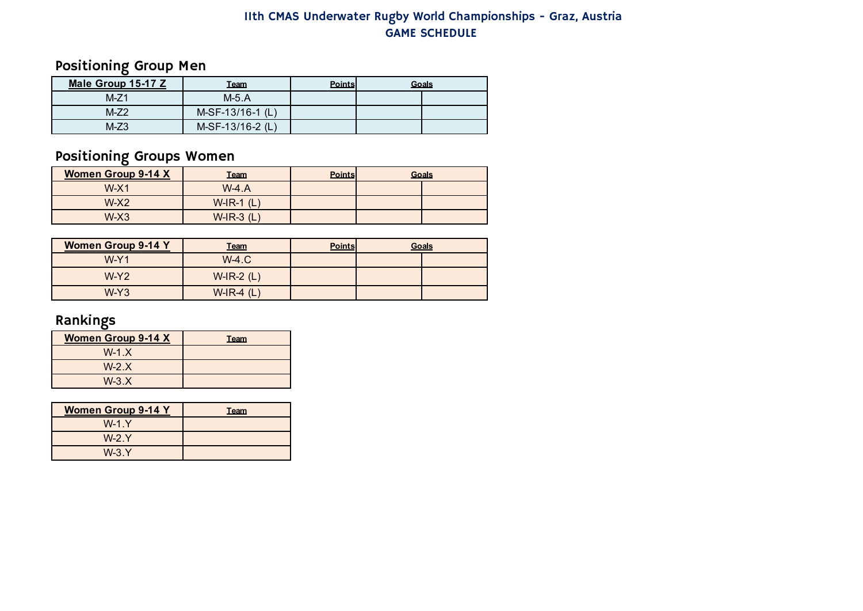Positioning Group Men

| Male Group 15-17 Z |        | Team               | <b>Points</b> | Goals |
|--------------------|--------|--------------------|---------------|-------|
|                    | $M-Z1$ | $M-5.A$            |               |       |
|                    | $M-Z2$ | $M-SF-13/16-1$ (L) |               |       |
|                    | $M-Z3$ | M-SF-13/16-2 (L)   |               |       |

# Positioning Groups Women

| <b>Women Group 9-14 X</b> | <b>Team</b>     | <b>Points</b> | Goals |
|---------------------------|-----------------|---------------|-------|
| $W-X1$                    | $W-4.A$         |               |       |
| $W-X2$                    | $W$ -IR-1 $(L)$ |               |       |
| $W-X3$                    | $W$ -IR-3 $(L)$ |               |       |

| <b>Women Group 9-14 Y</b> | <b>Team</b>     | <b>Points</b> | Goals |
|---------------------------|-----------------|---------------|-------|
| $W-Y1$                    | $W-4.C$         |               |       |
| $W-Y2$                    | $W$ -IR-2 $(L)$ |               |       |
| $W-Y3$                    | $W$ -IR-4 (L)   |               |       |

# Rankings

| <b>Women Group 9-14 X</b> | <b>Team</b> |
|---------------------------|-------------|
| $W-1.X$                   |             |
| $W-2.X$                   |             |
| $W-3.X$                   |             |

| <b>Women Group 9-14 Y</b> | <b>Team</b> |
|---------------------------|-------------|
| $W-1. Y$                  |             |
| $W-2. Y$                  |             |
| $W-3. Y$                  |             |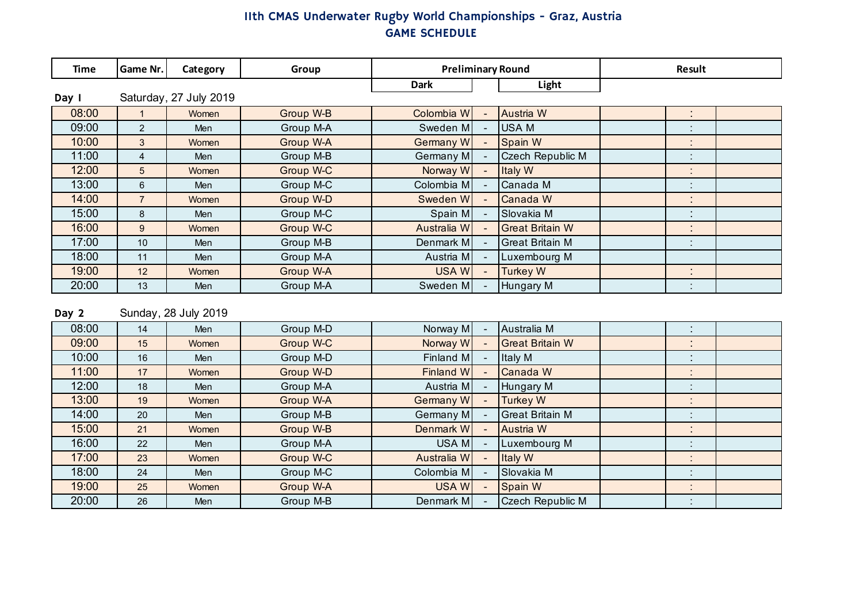| <b>Time</b> | Game Nr.       | Category               | Group     | <b>Preliminary Round</b> |                          |                         | Result                      |  |
|-------------|----------------|------------------------|-----------|--------------------------|--------------------------|-------------------------|-----------------------------|--|
|             |                |                        |           | <b>Dark</b>              |                          | Light                   |                             |  |
| Day I       |                | Saturday, 27 July 2019 |           |                          |                          |                         |                             |  |
| 08:00       |                | Women                  | Group W-B | Colombia W               |                          | Austria W               | $\bullet$<br>$\mathbf{r}$   |  |
| 09:00       | $\overline{2}$ | Men                    | Group M-A | Sweden M                 | $\overline{\phantom{a}}$ | <b>USAM</b>             | $\cdot$<br>$\blacksquare$   |  |
| 10:00       | 3              | Women                  | Group W-A | Germany W                |                          | Spain W                 | $\bullet$<br>$\epsilon$     |  |
| 11:00       | $\overline{4}$ | Men                    | Group M-B | Germany M                | $\overline{\phantom{a}}$ | <b>Czech Republic M</b> | ٠<br>$\blacksquare$         |  |
| 12:00       | 5              | Women                  | Group W-C | Norway W                 | $\sim$                   | Italy W                 | ٠<br>$\mathbf{r}$           |  |
| 13:00       | 6              | Men                    | Group M-C | Colombia M               | $\overline{\phantom{a}}$ | Canada M                | $\cdot$<br>$\blacksquare$   |  |
| 14:00       | $\overline{7}$ | Women                  | Group W-D | Sweden W                 |                          | Canada W                | ٠<br>$\sim$                 |  |
| 15:00       | 8              | Men                    | Group M-C | Spain M                  |                          | Slovakia M              | $\bullet$<br>$\blacksquare$ |  |
| 16:00       | 9              | Women                  | Group W-C | Australia W              | $\overline{\phantom{a}}$ | <b>Great Britain W</b>  | $\bullet$<br>$\sim$         |  |
| 17:00       | 10             | Men                    | Group M-B | Denmark M                | $\overline{\phantom{0}}$ | <b>Great Britain M</b>  | $\cdot$<br>$\mathbf{r}$     |  |
| 18:00       | 11             | Men                    | Group M-A | Austria M                |                          | Luxembourg M            |                             |  |
| 19:00       | 12             | Women                  | Group W-A | <b>USAW</b>              | $\sim$                   | <b>Turkey W</b>         | $\bullet$<br>$\sim$         |  |
| 20:00       | 13             | Men                    | Group M-A | Sweden M                 |                          | Hungary M               | $\cdot$<br>$\mathbf{r}$     |  |

Day 2 Sunday, 28 July 2019

| 08:00 | 14 | <b>Men</b> | Group M-D | Norway M    |                          | Australia M            |                           |  |
|-------|----|------------|-----------|-------------|--------------------------|------------------------|---------------------------|--|
| 09:00 | 15 | Women      | Group W-C | Norway W    |                          | <b>Great Britain W</b> |                           |  |
| 10:00 | 16 | Men        | Group M-D | Finland M   |                          | Italy M                | $\blacksquare$            |  |
| 11:00 | 17 | Women      | Group W-D | Finland W   | $\overline{\phantom{a}}$ | Canada W               |                           |  |
| 12:00 | 18 | Men        | Group M-A | Austria M   |                          | Hungary M              | $\cdot$<br>$\cdot$        |  |
| 13:00 | 19 | Women      | Group W-A | Germany W   |                          | <b>Turkey W</b>        | $\blacksquare$            |  |
| 14:00 | 20 | Men        | Group M-B | Germany M   |                          | <b>Great Britain M</b> | $\cdot$                   |  |
| 15:00 | 21 | Women      | Group W-B | Denmark W   |                          | Austria W              | $\blacksquare$            |  |
| 16:00 | 22 | Men        | Group M-A | USA M       |                          | Luxembourg M           | $\bullet$<br>$\bullet$    |  |
| 17:00 | 23 | Women      | Group W-C | Australia W |                          | Italy W                | $\blacksquare$            |  |
| 18:00 | 24 | Men        | Group M-C | Colombia M  |                          | Slovakia M             | $\cdot$<br>$\blacksquare$ |  |
| 19:00 | 25 | Women      | Group W-A | USA W       |                          | Spain W                | $\blacksquare$            |  |
| 20:00 | 26 | Men        | Group M-B | Denmark M   |                          | Czech Republic M       | $\bullet$                 |  |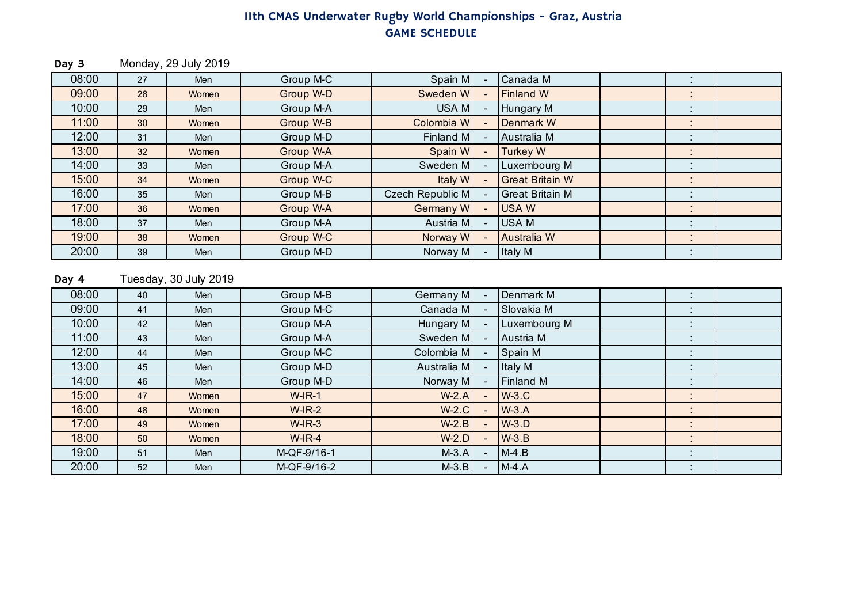Day 3 Monday, 29 July 2019

| 08:00 | 27              | Men   | Group M-C | Spain M          | Canada M               | $\blacksquare$<br>$\blacksquare$ |  |
|-------|-----------------|-------|-----------|------------------|------------------------|----------------------------------|--|
| 09:00 | 28              | Women | Group W-D | Sweden W         | <b>Finland W</b>       | $\blacksquare$                   |  |
| 10:00 | 29              | Men   | Group M-A | USA M            | Hungary M              | $\bullet$                        |  |
| 11:00 | 30 <sup>°</sup> | Women | Group W-B | Colombia W       | Denmark W              | $\cdot$                          |  |
| 12:00 | 31              | Men   | Group M-D | Finland M        | Australia M            | $\blacksquare$<br>$\blacksquare$ |  |
| 13:00 | 32              | Women | Group W-A | Spain W          | <b>Turkey W</b>        | $\bullet$<br>$\blacksquare$      |  |
| 14:00 | 33              | Men   | Group M-A | Sweden M         | Luxembourg M           | $\cdot$                          |  |
| 15:00 | 34              | Women | Group W-C | Italy W          | <b>Great Britain W</b> | $\blacksquare$                   |  |
| 16:00 | 35              | Men   | Group M-B | Czech Republic M | <b>Great Britain M</b> | $\blacksquare$<br>$\sim$         |  |
| 17:00 | 36              | Women | Group W-A | Germany W        | <b>USAW</b>            | ٠<br>$\blacksquare$              |  |
| 18:00 | 37              | Men   | Group M-A | Austria M        | USA M                  |                                  |  |
| 19:00 | 38              | Women | Group W-C | Norway W         | Australia W            | $\blacksquare$<br>$\blacksquare$ |  |
| 20:00 | 39              | Men   | Group M-D | Norway M         | Italy M                | $\blacksquare$                   |  |

#### Day 4 Tuesday, 30 July 2019

| 08:00 | 40 | Men        | Group M-B   | Germany M   | Denmark M    | . .            |  |
|-------|----|------------|-------------|-------------|--------------|----------------|--|
| 09:00 | 41 | Men        | Group M-C   | Canada M    | Slovakia M   |                |  |
| 10:00 | 42 | Men        | Group M-A   | Hungary M   | Luxembourg M |                |  |
| 11:00 | 43 | Men        | Group M-A   | Sweden M    | Austria M    | $\bullet$      |  |
| 12:00 | 44 | <b>Men</b> | Group M-C   | Colombia M  | Spain M      |                |  |
| 13:00 | 45 | Men        | Group M-D   | Australia M | Italy M      | $\mathbf{r}$   |  |
| 14:00 | 46 | Men        | Group M-D   | Norway M    | Finland M    | $\blacksquare$ |  |
| 15:00 | 47 | Women      | $W$ -IR-1   | $W-2.A$     | $W-3.C$      | $\blacksquare$ |  |
| 16:00 | 48 | Women      | $W$ -IR-2   | $W-2.C$     | $W-3.A$      |                |  |
| 17:00 | 49 | Women      | $W$ -IR-3   | $W-2.B$     | $W-3.D$      |                |  |
| 18:00 | 50 | Women      | $W$ -IR-4   | $W-2.D$     | $W-3.B$      |                |  |
| 19:00 | 51 | <b>Men</b> | M-QF-9/16-1 | $M-3.A$     | $M-4.B$      |                |  |
| 20:00 | 52 | Men        | M-QF-9/16-2 | $M-3.B$     | $M-4.A$      | $\cdot$        |  |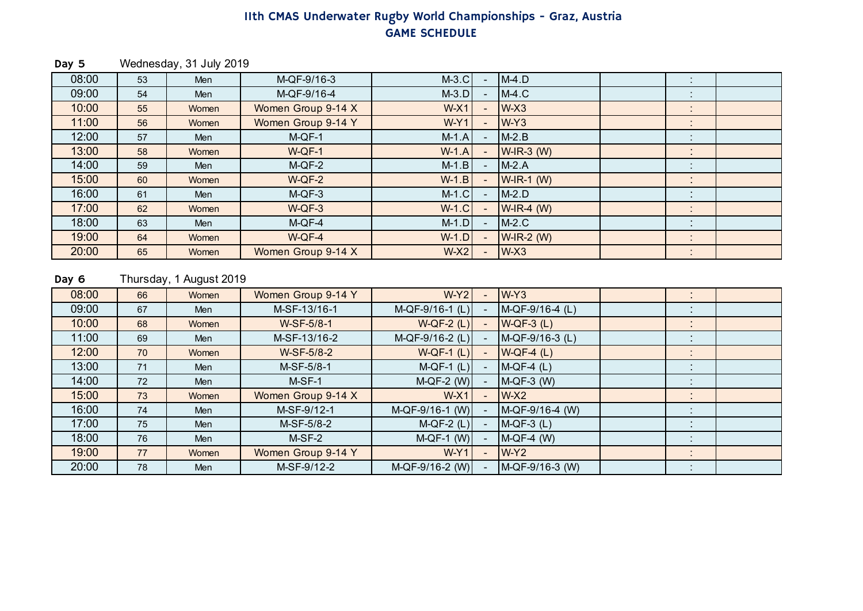Day 5 Wednesday, 31 July 2019

| 08:00 | 53 | Men        | M-QF-9/16-3        | $M-3.C$      | $M-4.D$         |                                |  |
|-------|----|------------|--------------------|--------------|-----------------|--------------------------------|--|
| 09:00 | 54 | Men        | M-QF-9/16-4        | $M-3.D$      | $M-4.C$         |                                |  |
| 10:00 | 55 | Women      | Women Group 9-14 X | $W-X1$       | $W-X3$          | $\bullet$<br>$\sim$            |  |
| 11:00 | 56 | Women      | Women Group 9-14 Y | $W-Y1$       | $W-Y3$          |                                |  |
| 12:00 | 57 | Men        | $M-QF-1$           | $M-1.A$      | $M-2.B$         | $\sim$                         |  |
| 13:00 | 58 | Women      | $W-QF-1$           | $W-1.A$      | $W$ -IR-3 (W)   | $\blacksquare$                 |  |
| 14:00 | 59 | <b>Men</b> | $M-QF-2$           | $M-1.B$      | $M-2.A$         | $\blacksquare$                 |  |
| 15:00 | 60 | Women      | $W-QF-2$           | $W-1.B$      | $W$ -IR-1 (W)   |                                |  |
| 16:00 | 61 | Men        | $M-QF-3$           | $M-1.C$      | $M-2.D$         | $\blacksquare$                 |  |
| 17:00 | 62 | Women      | $W-QF-3$           | <b>W-1.C</b> | $W$ -IR-4 (W)   | $\sim$                         |  |
| 18:00 | 63 | Men        | $M-QF-4$           | $M-1.D$      | $M-2.C$         |                                |  |
| 19:00 | 64 | Women      | W-QF-4             | $W-1.D$      | $W$ -IR-2 $(W)$ | $\mathbf{r}$<br>$\blacksquare$ |  |
| 20:00 | 65 | Women      | Women Group 9-14 X | $W-X2$       | $W-X3$          | $\bullet$                      |  |

#### Day 6 Thursday, 1 August 2019

| 08:00 | 66 | Women      | Women Group 9-14 Y | $W-Y2$            |                | $W-Y3$          | $\blacksquare$<br>$\bullet$      |  |
|-------|----|------------|--------------------|-------------------|----------------|-----------------|----------------------------------|--|
| 09:00 | 67 | Men        | M-SF-13/16-1       | M-QF-9/16-1 (L)   |                | M-QF-9/16-4 (L) | $\bullet$<br>$\sim$              |  |
| 10:00 | 68 | Women      | W-SF-5/8-1         | $W-QF-2(L)$       |                | $W-QF-3(L)$     | $\mathbf{r}$                     |  |
| 11:00 | 69 | Men        | M-SF-13/16-2       | M-QF-9/16-2 (L)   |                | M-QF-9/16-3 (L) | $\blacksquare$<br>$\blacksquare$ |  |
| 12:00 | 70 | Women      | W-SF-5/8-2         | $W-QF-1(L)$       | $\sim$         | $W-QF-4(L)$     | $\blacksquare$<br>$\mathbf{r}$   |  |
| 13:00 | 71 | Men        | M-SF-5/8-1         | $M-QF-1(L)$       |                | $M-QF-4(L)$     | $\cdot$<br>$\blacksquare$        |  |
| 14:00 | 72 | Men        | M-SF-1             | $M-QF-2$ (W)      |                | $M-QF-3$ (W)    | $\cdot$                          |  |
| 15:00 | 73 | Women      | Women Group 9-14 X | $W-X1$            |                | $W-X2$          | $\bullet$<br>$\sim$              |  |
| 16:00 | 74 | Men        | M-SF-9/12-1        | $M-QF-9/16-1$ (W) |                | M-QF-9/16-4 (W) | $\mathbf{r}$                     |  |
| 17:00 | 75 | Men        | M-SF-5/8-2         | $M-QF-2(L)$       | ra i           | $M-QF-3(L)$     | $\cdot$<br>$\blacksquare$        |  |
| 18:00 | 76 | <b>Men</b> | $M-SF-2$           | $M-QF-1$ (W)      | $\blacksquare$ | $M-QF-4$ (W)    | ٠<br>$\mathbf{r}$                |  |
| 19:00 | 77 | Women      | Women Group 9-14 Y | $W-Y1$            |                | $W-Y2$          | $\mathbf{r}$                     |  |
| 20:00 | 78 | Men        | M-SF-9/12-2        | M-QF-9/16-2 (W)   |                | M-QF-9/16-3 (W) | $\mathbf{r}$                     |  |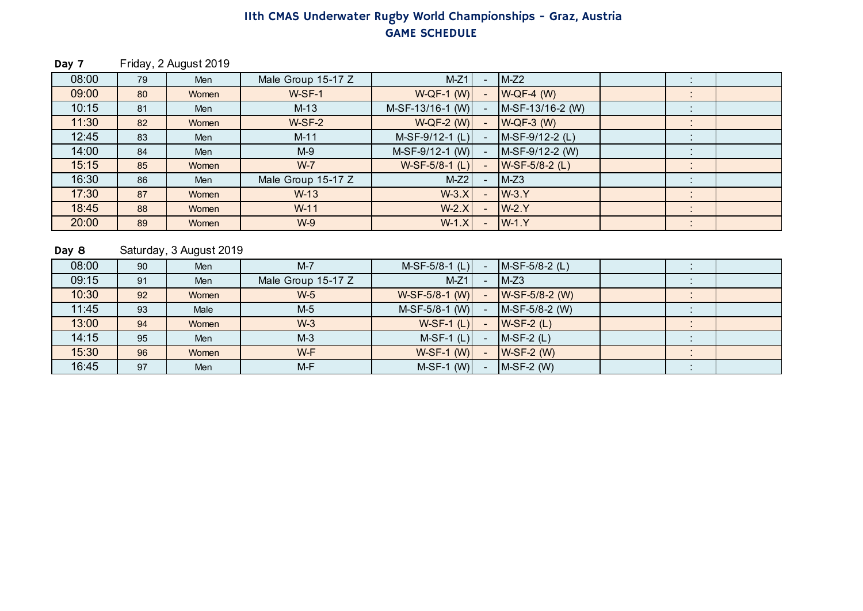Day 7 Friday, 2 August 2019

| 08:00 | 79 | Men   | Male Group 15-17 Z | $M-Z1$             | $\qquad \qquad$ | $M-Z2$           | $\mathbf{r}$             |  |
|-------|----|-------|--------------------|--------------------|-----------------|------------------|--------------------------|--|
| 09:00 | 80 | Women | $W-SF-1$           | $W-QF-1$ (W)       |                 | $W-QF-4$ (W)     | $\cdot$                  |  |
| 10:15 | 81 | Men   | $M-13$             | $M-SF-13/16-1$ (W) |                 | M-SF-13/16-2 (W) |                          |  |
| 11:30 | 82 | Women | $W-SF-2$           | $W-QF-2$ (W)       |                 | $W-QF-3$ (W)     | $\blacksquare$<br>$\sim$ |  |
| 12:45 | 83 | Men   | $M-11$             | $M-SF-9/12-1$ (L)  |                 | M-SF-9/12-2 (L)  | $\sim$                   |  |
| 14:00 | 84 | Men   | $M-9$              | $M-SF-9/12-1$ (W)  |                 | M-SF-9/12-2 (W)  | $\blacksquare$<br>$\sim$ |  |
| 15:15 | 85 | Women | $W-7$              | $W-SF-5/8-1$ (L)   |                 | $W-SF-5/8-2(L)$  | $\sim$<br>$\sim$         |  |
| 16:30 | 86 | Men   | Male Group 15-17 Z | $M-Z2$             |                 | $M-Z3$           |                          |  |
| 17:30 | 87 | Women | $W-13$             | $W-3.X$            |                 | $W-3.Y$          | $\bullet$<br>$\sim$      |  |
| 18:45 | 88 | Women | $W-11$             | $W-2.X$            |                 | $W-2.Y$          | $\cdot$<br>$\cdot$       |  |
| 20:00 | 89 | Women | $W-9$              | $W-1.X$            | $\blacksquare$  | $W-1.Y$          | $\mathbf{r}$             |  |

#### Day 8 Saturday, 3 August 2019

| 08:00 | 90 | Men        | $M-7$              | $M-SF-5/8-1$ (L) | $M-SF-5/8-2$ (L) | $\blacksquare$ |  |
|-------|----|------------|--------------------|------------------|------------------|----------------|--|
| 09:15 | 91 | <b>Men</b> | Male Group 15-17 Z | $M-Z1$           | $M-Z3$           |                |  |
| 10:30 | 92 | Women      | $W-5$              | $W-SF-5/8-1$ (W) | W-SF-5/8-2 (W)   |                |  |
| 11:45 | 93 | Male       | $M-5$              | $M-SF-5/8-1$ (W) | M-SF-5/8-2 (W)   |                |  |
| 13:00 | 94 | Women      | $W-3$              | $W-SF-1$ (L)     | $W-SF-2(L)$      |                |  |
| 14:15 | 95 | <b>Men</b> | $M-3$              | $M-SF-1$ (L)     | $M-SF-2(L)$      |                |  |
| 15:30 | 96 | Women      | W-F                | $W-SF-1$ (W)     | $W-SF-2(W)$      |                |  |
| 16:45 | 97 | Men        | $M-F$              | $M-SF-1$ (W)     | $M-SF-2$ (W)     |                |  |